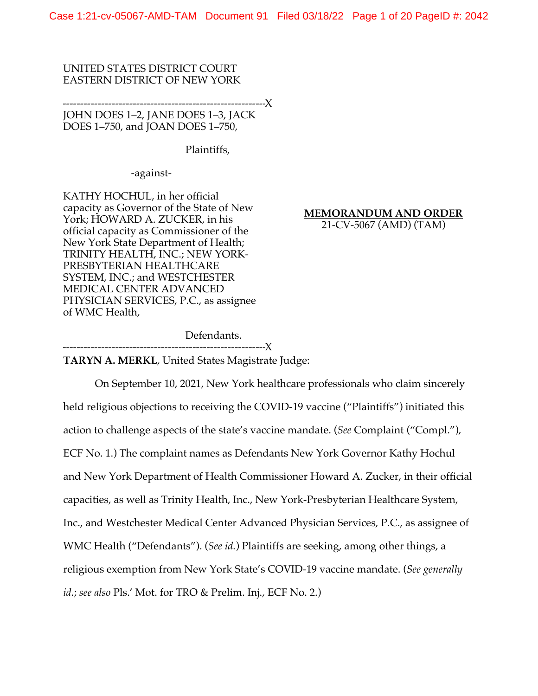Case 1:21-cv-05067-AMD-TAM Document 91 Filed 03/18/22 Page 1 of 20 PageID #: 2042

## UNITED STATES DISTRICT COURT EASTERN DISTRICT OF NEW YORK

----------------------------------------------------------X JOHN DOES 1–2, JANE DOES 1–3, JACK DOES 1–750, and JOAN DOES 1–750,

Plaintiffs,

-against-

KATHY HOCHUL, in her official capacity as Governor of the State of New York; HOWARD A. ZUCKER, in his official capacity as Commissioner of the New York State Department of Health; TRINITY HEALTH, INC.; NEW YORK-PRESBYTERIAN HEALTHCARE SYSTEM, INC.; and WESTCHESTER MEDICAL CENTER ADVANCED PHYSICIAN SERVICES, P.C., as assignee of WMC Health,

**MEMORANDUM AND ORDER**

21-CV-5067 (AMD) (TAM)

Defendants.

----------------------------------------------------------X

**TARYN A. MERKL**, United States Magistrate Judge:

On September 10, 2021, New York healthcare professionals who claim sincerely held religious objections to receiving the COVID-19 vaccine ("Plaintiffs") initiated this action to challenge aspects of the state's vaccine mandate. (*See* Complaint ("Compl."), ECF No. 1.) The complaint names as Defendants New York Governor Kathy Hochul and New York Department of Health Commissioner Howard A. Zucker, in their official capacities, as well as Trinity Health, Inc., New York-Presbyterian Healthcare System, Inc., and Westchester Medical Center Advanced Physician Services, P.C., as assignee of WMC Health ("Defendants"). (*See id.*) Plaintiffs are seeking, among other things, a religious exemption from New York State's COVID-19 vaccine mandate. (*See generally id.*; *see also* Pls.' Mot. for TRO & Prelim. Inj., ECF No. 2.)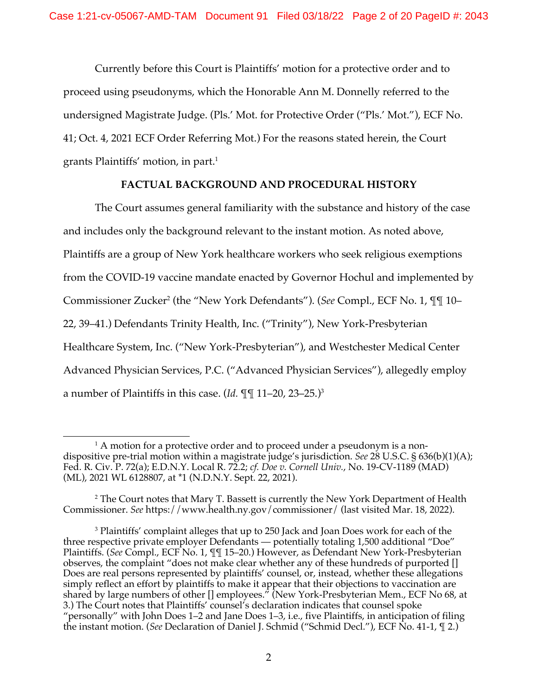Currently before this Court is Plaintiffs' motion for a protective order and to proceed using pseudonyms, which the Honorable Ann M. Donnelly referred to the undersigned Magistrate Judge. (Pls.' Mot. for Protective Order ("Pls.' Mot."), ECF No. 41; Oct. 4, 2021 ECF Order Referring Mot.) For the reasons stated herein, the Court grants Plaintiffs' motion, in part. 1

# **FACTUAL BACKGROUND AND PROCEDURAL HISTORY**

The Court assumes general familiarity with the substance and history of the case and includes only the background relevant to the instant motion. As noted above, Plaintiffs are a group of New York healthcare workers who seek religious exemptions from the COVID-19 vaccine mandate enacted by Governor Hochul and implemented by Commissioner Zucker2 (the "New York Defendants"). (*See* Compl., ECF No. 1, ¶¶ 10– 22, 39–41.) Defendants Trinity Health, Inc. ("Trinity"), New York-Presbyterian Healthcare System, Inc. ("New York-Presbyterian"), and Westchester Medical Center Advanced Physician Services, P.C. ("Advanced Physician Services"), allegedly employ a number of Plaintiffs in this case. (*Id.* ¶¶ 11–20, 23–25.)3

 $1$  A motion for a protective order and to proceed under a pseudonym is a nondispositive pre-trial motion within a magistrate judge's jurisdiction. *See* 28 U.S.C. § 636(b)(1)(A); Fed. R. Civ. P. 72(a); E.D.N.Y. Local R. 72.2; *cf. Doe v. Cornell Univ.*, No. 19-CV-1189 (MAD) (ML), 2021 WL 6128807, at \*1 (N.D.N.Y. Sept. 22, 2021).

<sup>2</sup> The Court notes that Mary T. Bassett is currently the New York Department of Health Commissioner. *See* https://www.health.ny.gov/commissioner/ (last visited Mar. 18, 2022).

<sup>&</sup>lt;sup>3</sup> Plaintiffs' complaint alleges that up to 250 Jack and Joan Does work for each of the three respective private employer Defendants — potentially totaling 1,500 additional "Doe" Plaintiffs. (*See* Compl., ECF No. 1, ¶¶ 15–20.) However, as Defendant New York-Presbyterian observes, the complaint "does not make clear whether any of these hundreds of purported [] Does are real persons represented by plaintiffs' counsel, or, instead, whether these allegations simply reflect an effort by plaintiffs to make it appear that their objections to vaccination are shared by large numbers of other [] employees." (New York-Presbyterian Mem., ECF No 68, at 3.) The Court notes that Plaintiffs' counsel's declaration indicates that counsel spoke "personally" with John Does 1–2 and Jane Does 1–3, i.e., five Plaintiffs, in anticipation of filing the instant motion. (*See* Declaration of Daniel J. Schmid ("Schmid Decl."), ECF No. 41-1, ¶ 2.)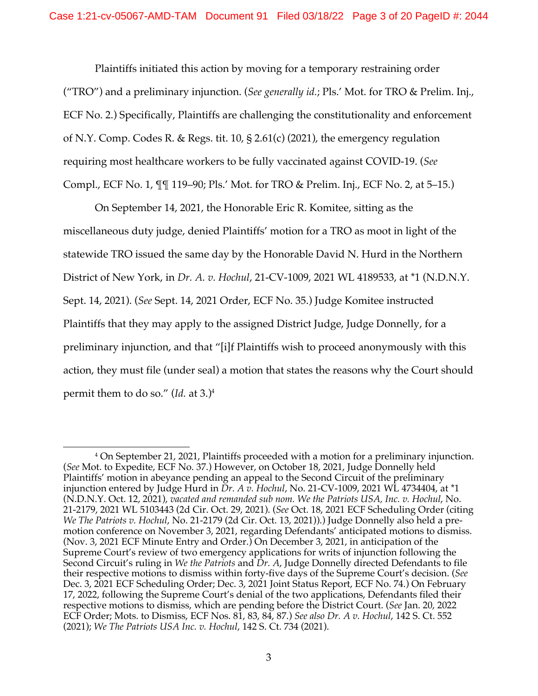Plaintiffs initiated this action by moving for a temporary restraining order ("TRO") and a preliminary injunction. (*See generally id.*; Pls.' Mot. for TRO & Prelim. Inj., ECF No. 2.) Specifically, Plaintiffs are challenging the constitutionality and enforcement of N.Y. Comp. Codes R. & Regs. tit. 10, § 2.61(c) (2021), the emergency regulation requiring most healthcare workers to be fully vaccinated against COVID-19. (*See* Compl., ECF No. 1, ¶¶ 119–90; Pls.' Mot. for TRO & Prelim. Inj., ECF No. 2, at 5–15.)

On September 14, 2021, the Honorable Eric R. Komitee, sitting as the miscellaneous duty judge, denied Plaintiffs' motion for a TRO as moot in light of the statewide TRO issued the same day by the Honorable David N. Hurd in the Northern District of New York, in *Dr. A. v. Hochul*, 21-CV-1009, 2021 WL 4189533, at \*1 (N.D.N.Y. Sept. 14, 2021). (*See* Sept. 14, 2021 Order, ECF No. 35.) Judge Komitee instructed Plaintiffs that they may apply to the assigned District Judge, Judge Donnelly, for a preliminary injunction, and that "[i]f Plaintiffs wish to proceed anonymously with this action, they must file (under seal) a motion that states the reasons why the Court should permit them to do so." (*Id.* at 3.)4

<sup>4</sup> On September 21, 2021, Plaintiffs proceeded with a motion for a preliminary injunction. (*See* Mot. to Expedite, ECF No. 37.) However, on October 18, 2021, Judge Donnelly held Plaintiffs' motion in abeyance pending an appeal to the Second Circuit of the preliminary injunction entered by Judge Hurd in *Dr. A v. Hochul*, No. 21-CV-1009, 2021 WL 4734404, at \*1 (N.D.N.Y. Oct. 12, 2021), *vacated and remanded sub nom. We the Patriots USA, Inc. v. Hochul*, No. 21-2179, 2021 WL 5103443 (2d Cir. Oct. 29, 2021). (*See* Oct. 18, 2021 ECF Scheduling Order (citing *We The Patriots v. Hochul*, No. 21-2179 (2d Cir. Oct. 13, 2021)).) Judge Donnelly also held a premotion conference on November 3, 2021, regarding Defendants' anticipated motions to dismiss. (Nov. 3, 2021 ECF Minute Entry and Order.) On December 3, 2021, in anticipation of the Supreme Court's review of two emergency applications for writs of injunction following the Second Circuit's ruling in *We the Patriots* and *Dr. A*, Judge Donnelly directed Defendants to file their respective motions to dismiss within forty-five days of the Supreme Court's decision. (*See*  Dec. 3, 2021 ECF Scheduling Order; Dec. 3, 2021 Joint Status Report, ECF No. 74.) On February 17, 2022, following the Supreme Court's denial of the two applications, Defendants filed their respective motions to dismiss, which are pending before the District Court. (*See* Jan. 20, 2022 ECF Order; Mots. to Dismiss, ECF Nos. 81, 83, 84, 87.) *See also Dr. A v. Hochul*, 142 S. Ct. 552 (2021); *We The Patriots USA Inc. v. Hochul*, 142 S. Ct. 734 (2021).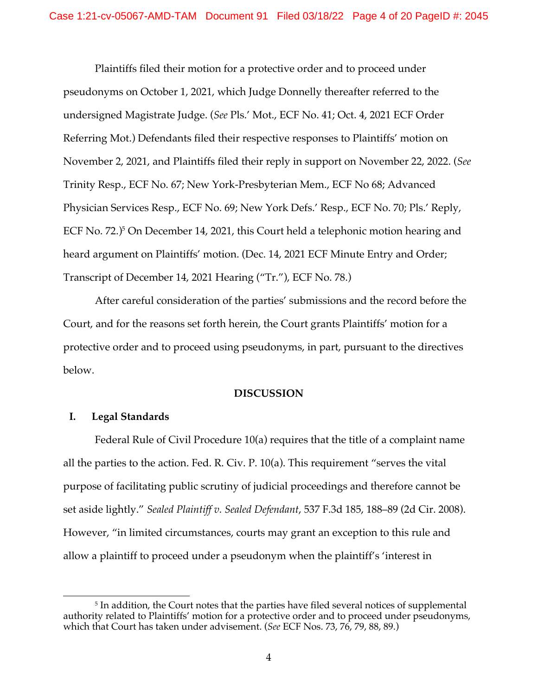Plaintiffs filed their motion for a protective order and to proceed under pseudonyms on October 1, 2021, which Judge Donnelly thereafter referred to the undersigned Magistrate Judge. (*See* Pls.' Mot., ECF No. 41; Oct. 4, 2021 ECF Order Referring Mot.) Defendants filed their respective responses to Plaintiffs' motion on November 2, 2021, and Plaintiffs filed their reply in support on November 22, 2022. (*See* Trinity Resp., ECF No. 67; New York-Presbyterian Mem., ECF No 68; Advanced Physician Services Resp., ECF No. 69; New York Defs.' Resp., ECF No. 70; Pls.' Reply, ECF No. 72.)<sup>5</sup> On December 14, 2021, this Court held a telephonic motion hearing and heard argument on Plaintiffs' motion. (Dec. 14, 2021 ECF Minute Entry and Order; Transcript of December 14, 2021 Hearing ("Tr."), ECF No. 78.)

After careful consideration of the parties' submissions and the record before the Court, and for the reasons set forth herein, the Court grants Plaintiffs' motion for a protective order and to proceed using pseudonyms, in part, pursuant to the directives below.

### **DISCUSSION**

## **I. Legal Standards**

Federal Rule of Civil Procedure 10(a) requires that the title of a complaint name all the parties to the action. Fed. R. Civ. P. 10(a). This requirement "serves the vital purpose of facilitating public scrutiny of judicial proceedings and therefore cannot be set aside lightly." *Sealed Plaintiff v. Sealed Defendant*, 537 F.3d 185, 188–89 (2d Cir. 2008). However, "in limited circumstances, courts may grant an exception to this rule and allow a plaintiff to proceed under a pseudonym when the plaintiff's 'interest in

<sup>&</sup>lt;sup>5</sup> In addition, the Court notes that the parties have filed several notices of supplemental authority related to Plaintiffs' motion for a protective order and to proceed under pseudonyms, which that Court has taken under advisement. (*See* ECF Nos. 73, 76, 79, 88, 89.)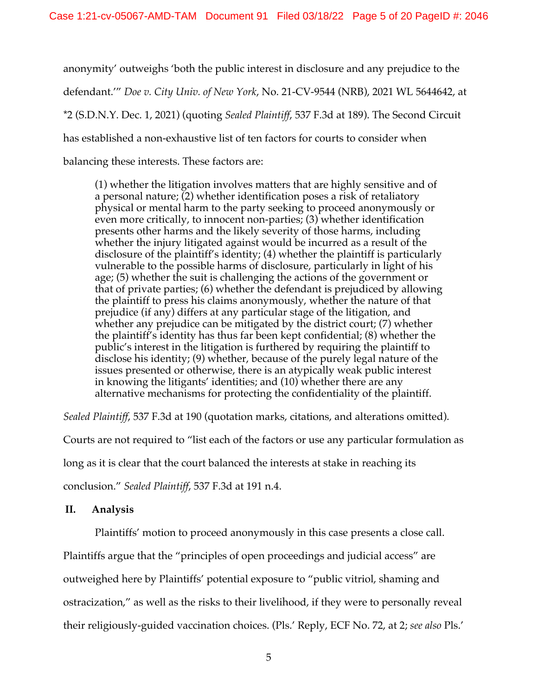anonymity' outweighs 'both the public interest in disclosure and any prejudice to the defendant.'" *Doe v. City Univ. of New York*, No. 21-CV-9544 (NRB), 2021 WL 5644642, at \*2 (S.D.N.Y. Dec. 1, 2021) (quoting *Sealed Plaintiff*, 537 F.3d at 189). The Second Circuit has established a non-exhaustive list of ten factors for courts to consider when balancing these interests. These factors are:

(1) whether the litigation involves matters that are highly sensitive and of a personal nature; (2) whether identification poses a risk of retaliatory physical or mental harm to the party seeking to proceed anonymously or even more critically, to innocent non-parties; (3) whether identification presents other harms and the likely severity of those harms, including whether the injury litigated against would be incurred as a result of the disclosure of the plaintiff's identity; (4) whether the plaintiff is particularly vulnerable to the possible harms of disclosure, particularly in light of his age; (5) whether the suit is challenging the actions of the government or that of private parties; (6) whether the defendant is prejudiced by allowing the plaintiff to press his claims anonymously, whether the nature of that prejudice (if any) differs at any particular stage of the litigation, and whether any prejudice can be mitigated by the district court; (7) whether the plaintiff's identity has thus far been kept confidential; (8) whether the public's interest in the litigation is furthered by requiring the plaintiff to disclose his identity; (9) whether, because of the purely legal nature of the issues presented or otherwise, there is an atypically weak public interest in knowing the litigants' identities; and (10) whether there are any alternative mechanisms for protecting the confidentiality of the plaintiff.

*Sealed Plaintiff*, 537 F.3d at 190 (quotation marks, citations, and alterations omitted).

Courts are not required to "list each of the factors or use any particular formulation as

long as it is clear that the court balanced the interests at stake in reaching its

conclusion." *Sealed Plaintiff*, 537 F.3d at 191 n.4.

## **II. Analysis**

Plaintiffs' motion to proceed anonymously in this case presents a close call. Plaintiffs argue that the "principles of open proceedings and judicial access" are outweighed here by Plaintiffs' potential exposure to "public vitriol, shaming and ostracization," as well as the risks to their livelihood, if they were to personally reveal their religiously-guided vaccination choices. (Pls.' Reply, ECF No. 72, at 2; *see also* Pls.'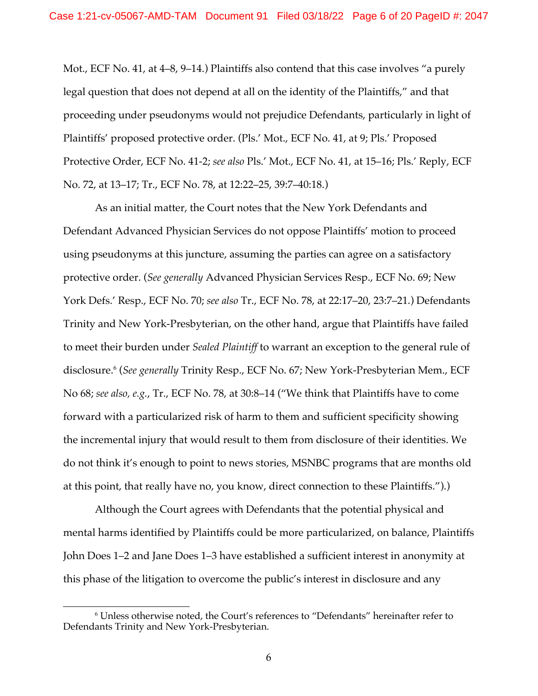Mot., ECF No. 41, at 4–8, 9–14.) Plaintiffs also contend that this case involves "a purely legal question that does not depend at all on the identity of the Plaintiffs," and that proceeding under pseudonyms would not prejudice Defendants, particularly in light of Plaintiffs' proposed protective order. (Pls.' Mot., ECF No. 41, at 9; Pls.' Proposed Protective Order, ECF No. 41-2; *see also* Pls.' Mot., ECF No. 41, at 15–16; Pls.' Reply, ECF No. 72, at 13–17; Tr., ECF No. 78, at 12:22–25, 39:7–40:18.)

As an initial matter, the Court notes that the New York Defendants and Defendant Advanced Physician Services do not oppose Plaintiffs' motion to proceed using pseudonyms at this juncture, assuming the parties can agree on a satisfactory protective order. (*See generally* Advanced Physician Services Resp., ECF No. 69; New York Defs.' Resp., ECF No. 70; *see also* Tr., ECF No. 78, at 22:17–20, 23:7–21.) Defendants Trinity and New York-Presbyterian, on the other hand, argue that Plaintiffs have failed to meet their burden under *Sealed Plaintiff* to warrant an exception to the general rule of disclosure. <sup>6</sup> (*See generally* Trinity Resp., ECF No. 67; New York-Presbyterian Mem., ECF No 68; *see also, e.g.*, Tr., ECF No. 78, at 30:8–14 ("We think that Plaintiffs have to come forward with a particularized risk of harm to them and sufficient specificity showing the incremental injury that would result to them from disclosure of their identities. We do not think it's enough to point to news stories, MSNBC programs that are months old at this point, that really have no, you know, direct connection to these Plaintiffs.").)

Although the Court agrees with Defendants that the potential physical and mental harms identified by Plaintiffs could be more particularized, on balance, Plaintiffs John Does 1–2 and Jane Does 1–3 have established a sufficient interest in anonymity at this phase of the litigation to overcome the public's interest in disclosure and any

<sup>6</sup> Unless otherwise noted, the Court's references to "Defendants" hereinafter refer to Defendants Trinity and New York-Presbyterian.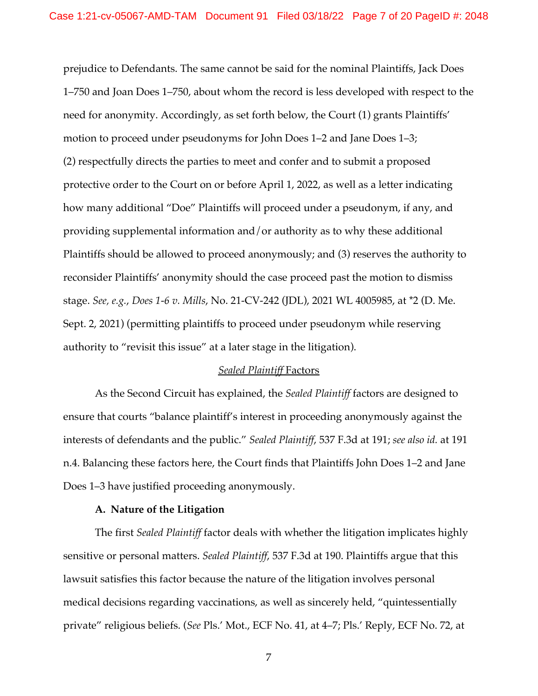prejudice to Defendants. The same cannot be said for the nominal Plaintiffs, Jack Does 1–750 and Joan Does 1–750, about whom the record is less developed with respect to the need for anonymity. Accordingly, as set forth below, the Court (1) grants Plaintiffs' motion to proceed under pseudonyms for John Does 1–2 and Jane Does 1–3; (2) respectfully directs the parties to meet and confer and to submit a proposed protective order to the Court on or before April 1, 2022, as well as a letter indicating how many additional "Doe" Plaintiffs will proceed under a pseudonym, if any, and providing supplemental information and/or authority as to why these additional Plaintiffs should be allowed to proceed anonymously; and (3) reserves the authority to reconsider Plaintiffs' anonymity should the case proceed past the motion to dismiss stage. *See, e.g.*, *Does 1-6 v. Mills*, No. 21-CV-242 (JDL), 2021 WL 4005985, at \*2 (D. Me. Sept. 2, 2021) (permitting plaintiffs to proceed under pseudonym while reserving authority to "revisit this issue" at a later stage in the litigation).

### *Sealed Plaintiff* Factors

As the Second Circuit has explained, the *Sealed Plaintiff* factors are designed to ensure that courts "balance plaintiff's interest in proceeding anonymously against the interests of defendants and the public." *Sealed Plaintiff*, 537 F.3d at 191; *see also id.* at 191 n.4. Balancing these factors here, the Court finds that Plaintiffs John Does 1–2 and Jane Does 1–3 have justified proceeding anonymously.

### **A. Nature of the Litigation**

The first *Sealed Plaintiff* factor deals with whether the litigation implicates highly sensitive or personal matters. *Sealed Plaintiff*, 537 F.3d at 190. Plaintiffs argue that this lawsuit satisfies this factor because the nature of the litigation involves personal medical decisions regarding vaccinations, as well as sincerely held, "quintessentially private" religious beliefs. (*See* Pls.' Mot., ECF No. 41, at 4–7; Pls.' Reply, ECF No. 72, at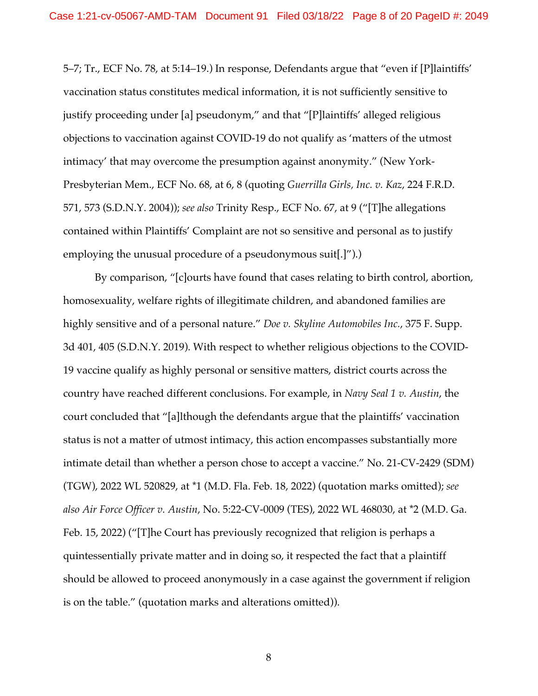5–7; Tr., ECF No. 78, at 5:14–19.) In response, Defendants argue that "even if [P]laintiffs' vaccination status constitutes medical information, it is not sufficiently sensitive to justify proceeding under [a] pseudonym," and that "[P]laintiffs' alleged religious objections to vaccination against COVID-19 do not qualify as 'matters of the utmost intimacy' that may overcome the presumption against anonymity." (New York-Presbyterian Mem., ECF No. 68, at 6, 8 (quoting *Guerrilla Girls, Inc. v. Kaz*, 224 F.R.D. 571, 573 (S.D.N.Y. 2004)); *see also* Trinity Resp., ECF No. 67, at 9 ("[T]he allegations contained within Plaintiffs' Complaint are not so sensitive and personal as to justify employing the unusual procedure of a pseudonymous suit[.]").)

By comparison, "[c]ourts have found that cases relating to birth control, abortion, homosexuality, welfare rights of illegitimate children, and abandoned families are highly sensitive and of a personal nature." *Doe v. Skyline Automobiles Inc.*, 375 F. Supp. 3d 401, 405 (S.D.N.Y. 2019). With respect to whether religious objections to the COVID-19 vaccine qualify as highly personal or sensitive matters, district courts across the country have reached different conclusions. For example, in *Navy Seal 1 v. Austin*, the court concluded that "[a]lthough the defendants argue that the plaintiffs' vaccination status is not a matter of utmost intimacy, this action encompasses substantially more intimate detail than whether a person chose to accept a vaccine." No. 21-CV-2429 (SDM) (TGW), 2022 WL 520829, at \*1 (M.D. Fla. Feb. 18, 2022) (quotation marks omitted); *see also Air Force Officer v. Austin*, No. 5:22-CV-0009 (TES), 2022 WL 468030, at \*2 (M.D. Ga. Feb. 15, 2022) ("[T]he Court has previously recognized that religion is perhaps a quintessentially private matter and in doing so, it respected the fact that a plaintiff should be allowed to proceed anonymously in a case against the government if religion is on the table." (quotation marks and alterations omitted)).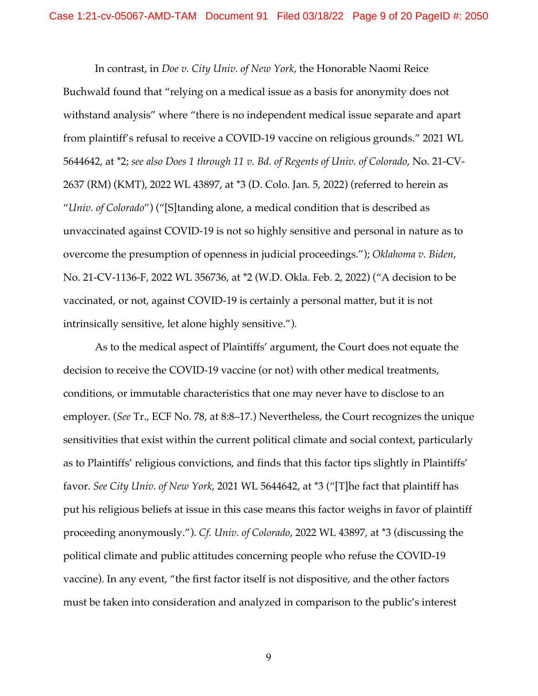In contrast, in *Doe v. City Univ. of New York*, the Honorable Naomi Reice Buchwald found that "relying on a medical issue as a basis for anonymity does not withstand analysis" where "there is no independent medical issue separate and apart from plaintiff's refusal to receive a COVID-19 vaccine on religious grounds." 2021 WL 5644642, at \*2; *see also Does 1 through 11 v. Bd. of Regents of Univ. of Colorado*, No. 21-CV-2637 (RM) (KMT), 2022 WL 43897, at \*3 (D. Colo. Jan. 5, 2022) (referred to herein as "*Univ. of Colorado*") ("[S]tanding alone, a medical condition that is described as unvaccinated against COVID-19 is not so highly sensitive and personal in nature as to overcome the presumption of openness in judicial proceedings."); *Oklahoma v. Biden*, No. 21-CV-1136-F, 2022 WL 356736, at \*2 (W.D. Okla. Feb. 2, 2022) ("A decision to be vaccinated, or not, against COVID-19 is certainly a personal matter, but it is not intrinsically sensitive, let alone highly sensitive.").

As to the medical aspect of Plaintiffs' argument, the Court does not equate the decision to receive the COVID-19 vaccine (or not) with other medical treatments, conditions, or immutable characteristics that one may never have to disclose to an employer. (*See* Tr., ECF No. 78, at 8:8–17.) Nevertheless, the Court recognizes the unique sensitivities that exist within the current political climate and social context, particularly as to Plaintiffs' religious convictions, and finds that this factor tips slightly in Plaintiffs' favor. *See City Univ. of New York*, 2021 WL 5644642, at \*3 ("[T]he fact that plaintiff has put his religious beliefs at issue in this case means this factor weighs in favor of plaintiff proceeding anonymously."). *Cf. Univ. of Colorado*, 2022 WL 43897, at \*3 (discussing the political climate and public attitudes concerning people who refuse the COVID-19 vaccine). In any event, "the first factor itself is not dispositive, and the other factors must be taken into consideration and analyzed in comparison to the public's interest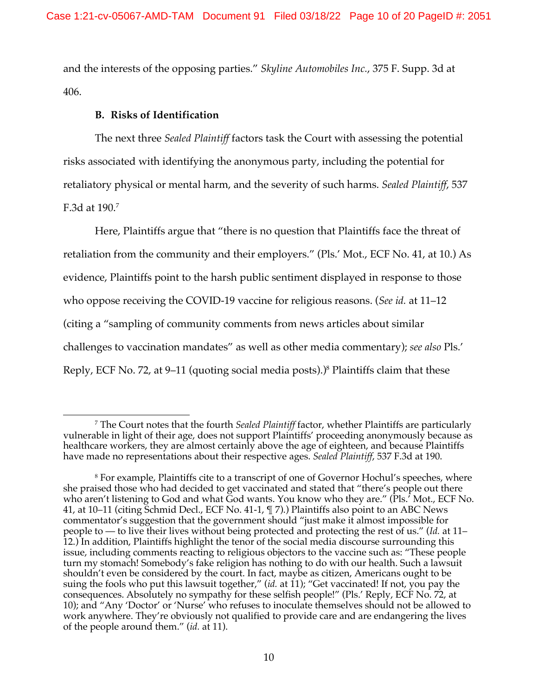and the interests of the opposing parties." *Skyline Automobiles Inc.*, 375 F. Supp. 3d at 406.

# **B. Risks of Identification**

The next three *Sealed Plaintiff* factors task the Court with assessing the potential risks associated with identifying the anonymous party, including the potential for retaliatory physical or mental harm, and the severity of such harms. *Sealed Plaintiff*, 537 F.3d at 190. 7

Here, Plaintiffs argue that "there is no question that Plaintiffs face the threat of retaliation from the community and their employers." (Pls.' Mot., ECF No. 41, at 10.) As evidence, Plaintiffs point to the harsh public sentiment displayed in response to those who oppose receiving the COVID-19 vaccine for religious reasons. (*See id.* at 11–12 (citing a "sampling of community comments from news articles about similar challenges to vaccination mandates" as well as other media commentary); *see also* Pls.' Reply, ECF No. 72, at 9–11 (quoting social media posts).)<sup>8</sup> Plaintiffs claim that these

<sup>7</sup> The Court notes that the fourth *Sealed Plaintiff* factor, whether Plaintiffs are particularly vulnerable in light of their age, does not support Plaintiffs' proceeding anonymously because as healthcare workers, they are almost certainly above the age of eighteen, and because Plaintiffs have made no representations about their respective ages. *Sealed Plaintiff*, 537 F.3d at 190.

<sup>8</sup> For example, Plaintiffs cite to a transcript of one of Governor Hochul's speeches, where she praised those who had decided to get vaccinated and stated that "there's people out there who aren't listening to God and what God wants. You know who they are." (Pls.' Mot., ECF No. 41, at 10–11 (citing Schmid Decl., ECF No. 41-1, ¶ 7).) Plaintiffs also point to an ABC News commentator's suggestion that the government should "just make it almost impossible for people to — to live their lives without being protected and protecting the rest of us." (*Id.* at 11– 12.) In addition, Plaintiffs highlight the tenor of the social media discourse surrounding this issue, including comments reacting to religious objectors to the vaccine such as: "These people turn my stomach! Somebody's fake religion has nothing to do with our health. Such a lawsuit shouldn't even be considered by the court. In fact, maybe as citizen, Americans ought to be suing the fools who put this lawsuit together," (*id.* at 11); "Get vaccinated! If not, you pay the consequences. Absolutely no sympathy for these selfish people!" (Pls.' Reply, ECF No. 72, at 10); and "Any 'Doctor' or 'Nurse' who refuses to inoculate themselves should not be allowed to work anywhere. They're obviously not qualified to provide care and are endangering the lives of the people around them." (*id.* at 11).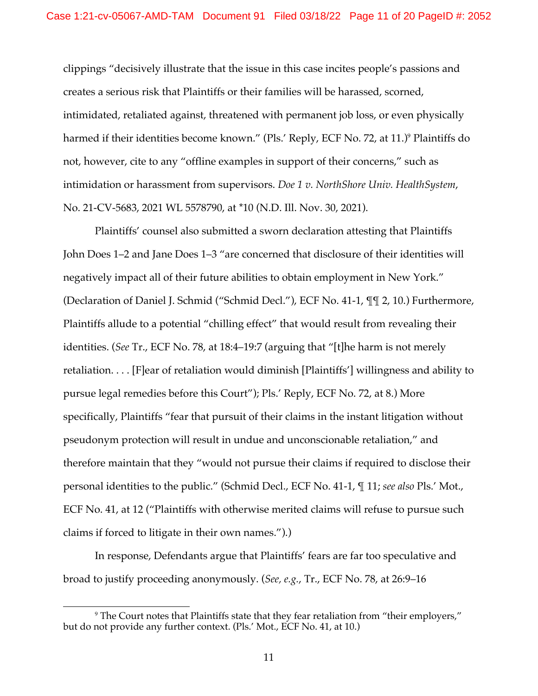clippings "decisively illustrate that the issue in this case incites people's passions and creates a serious risk that Plaintiffs or their families will be harassed, scorned, intimidated, retaliated against, threatened with permanent job loss, or even physically harmed if their identities become known." (Pls.' Reply, ECF No. 72, at 11.)<sup>9</sup> Plaintiffs do not, however, cite to any "offline examples in support of their concerns," such as intimidation or harassment from supervisors. *Doe 1 v. NorthShore Univ. HealthSystem*, No. 21-CV-5683, 2021 WL 5578790, at \*10 (N.D. Ill. Nov. 30, 2021).

Plaintiffs' counsel also submitted a sworn declaration attesting that Plaintiffs John Does 1–2 and Jane Does 1–3 "are concerned that disclosure of their identities will negatively impact all of their future abilities to obtain employment in New York." (Declaration of Daniel J. Schmid ("Schmid Decl."), ECF No. 41-1, ¶¶ 2, 10.) Furthermore, Plaintiffs allude to a potential "chilling effect" that would result from revealing their identities. (*See* Tr., ECF No. 78, at 18:4–19:7 (arguing that "[t]he harm is not merely retaliation. . . . [F]ear of retaliation would diminish [Plaintiffs'] willingness and ability to pursue legal remedies before this Court"); Pls.' Reply, ECF No. 72, at 8.) More specifically, Plaintiffs "fear that pursuit of their claims in the instant litigation without pseudonym protection will result in undue and unconscionable retaliation," and therefore maintain that they "would not pursue their claims if required to disclose their personal identities to the public." (Schmid Decl., ECF No. 41-1, ¶ 11; *see also* Pls.' Mot., ECF No. 41, at 12 ("Plaintiffs with otherwise merited claims will refuse to pursue such claims if forced to litigate in their own names.").)

In response, Defendants argue that Plaintiffs' fears are far too speculative and broad to justify proceeding anonymously. (*See, e.g.*, Tr., ECF No. 78, at 26:9–16

<sup>9</sup> The Court notes that Plaintiffs state that they fear retaliation from "their employers," but do not provide any further context. (Pls.' Mot., ECF No. 41, at 10.)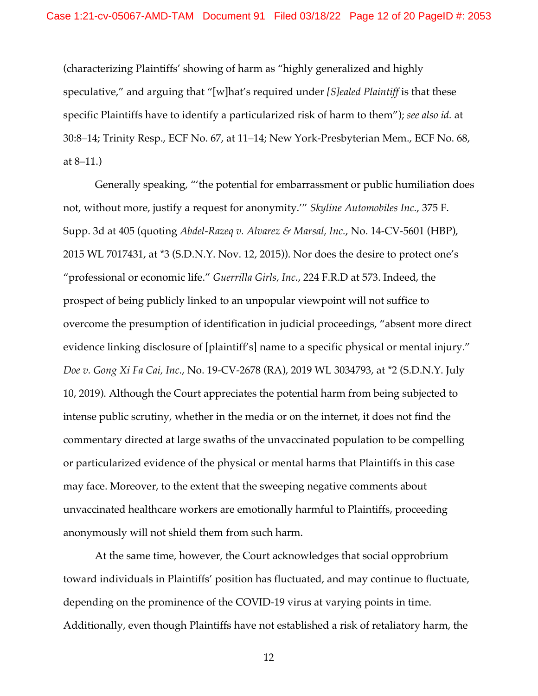(characterizing Plaintiffs' showing of harm as "highly generalized and highly speculative," and arguing that "[w]hat's required under *[S]ealed Plaintiff* is that these specific Plaintiffs have to identify a particularized risk of harm to them"); *see also id.* at 30:8–14; Trinity Resp., ECF No. 67, at 11–14; New York-Presbyterian Mem., ECF No. 68, at 8–11.)

Generally speaking, "'the potential for embarrassment or public humiliation does not, without more, justify a request for anonymity.'" *Skyline Automobiles Inc.*, 375 F. Supp. 3d at 405 (quoting *Abdel-Razeq v. Alvarez & Marsal, Inc.*, No. 14-CV-5601 (HBP), 2015 WL 7017431, at \*3 (S.D.N.Y. Nov. 12, 2015)). Nor does the desire to protect one's "professional or economic life." *Guerrilla Girls, Inc.*, 224 F.R.D at 573. Indeed, the prospect of being publicly linked to an unpopular viewpoint will not suffice to overcome the presumption of identification in judicial proceedings, "absent more direct evidence linking disclosure of [plaintiff's] name to a specific physical or mental injury." *Doe v. Gong Xi Fa Cai, Inc.*, No. 19-CV-2678 (RA), 2019 WL 3034793, at \*2 (S.D.N.Y. July 10, 2019). Although the Court appreciates the potential harm from being subjected to intense public scrutiny, whether in the media or on the internet, it does not find the commentary directed at large swaths of the unvaccinated population to be compelling or particularized evidence of the physical or mental harms that Plaintiffs in this case may face. Moreover, to the extent that the sweeping negative comments about unvaccinated healthcare workers are emotionally harmful to Plaintiffs, proceeding anonymously will not shield them from such harm.

At the same time, however, the Court acknowledges that social opprobrium toward individuals in Plaintiffs' position has fluctuated, and may continue to fluctuate, depending on the prominence of the COVID-19 virus at varying points in time. Additionally, even though Plaintiffs have not established a risk of retaliatory harm, the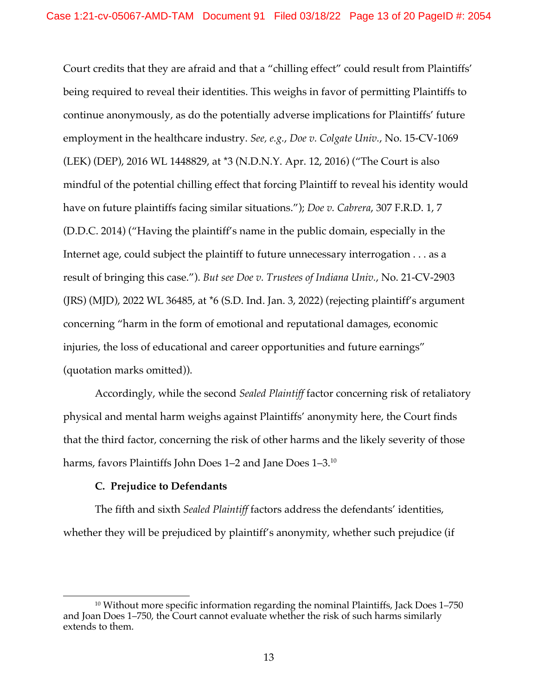Court credits that they are afraid and that a "chilling effect" could result from Plaintiffs' being required to reveal their identities. This weighs in favor of permitting Plaintiffs to continue anonymously, as do the potentially adverse implications for Plaintiffs' future employment in the healthcare industry. *See, e.g.*, *Doe v. Colgate Univ.*, No. 15-CV-1069 (LEK) (DEP), 2016 WL 1448829, at \*3 (N.D.N.Y. Apr. 12, 2016) ("The Court is also mindful of the potential chilling effect that forcing Plaintiff to reveal his identity would have on future plaintiffs facing similar situations."); *Doe v. Cabrera*, 307 F.R.D. 1, 7 (D.D.C. 2014) ("Having the plaintiff's name in the public domain, especially in the Internet age, could subject the plaintiff to future unnecessary interrogation . . . as a result of bringing this case."). *But see Doe v. Trustees of Indiana Univ.*, No. 21-CV-2903 (JRS) (MJD), 2022 WL 36485, at \*6 (S.D. Ind. Jan. 3, 2022) (rejecting plaintiff's argument concerning "harm in the form of emotional and reputational damages, economic injuries, the loss of educational and career opportunities and future earnings" (quotation marks omitted)).

Accordingly, while the second *Sealed Plaintiff* factor concerning risk of retaliatory physical and mental harm weighs against Plaintiffs' anonymity here, the Court finds that the third factor, concerning the risk of other harms and the likely severity of those harms, favors Plaintiffs John Does 1–2 and Jane Does 1–3. 10

## **C. Prejudice to Defendants**

The fifth and sixth *Sealed Plaintiff* factors address the defendants' identities, whether they will be prejudiced by plaintiff's anonymity, whether such prejudice (if

<sup>&</sup>lt;sup>10</sup> Without more specific information regarding the nominal Plaintiffs, Jack Does 1–750 and Joan Does 1-750, the Court cannot evaluate whether the risk of such harms similarly extends to them.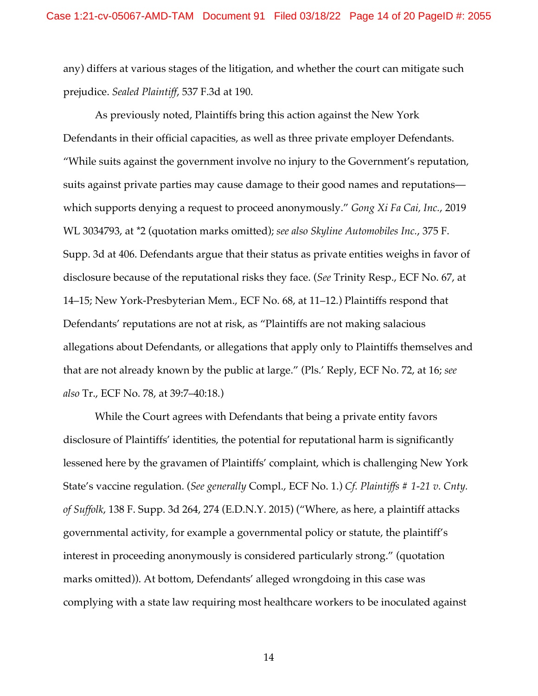any) differs at various stages of the litigation, and whether the court can mitigate such prejudice. *Sealed Plaintiff*, 537 F.3d at 190.

As previously noted, Plaintiffs bring this action against the New York Defendants in their official capacities, as well as three private employer Defendants. "While suits against the government involve no injury to the Government's reputation, suits against private parties may cause damage to their good names and reputations which supports denying a request to proceed anonymously." *Gong Xi Fa Cai, Inc.*, 2019 WL 3034793, at \*2 (quotation marks omitted); *see also Skyline Automobiles Inc.*, 375 F. Supp. 3d at 406. Defendants argue that their status as private entities weighs in favor of disclosure because of the reputational risks they face. (*See* Trinity Resp., ECF No. 67, at 14–15; New York-Presbyterian Mem., ECF No. 68, at 11–12.) Plaintiffs respond that Defendants' reputations are not at risk, as "Plaintiffs are not making salacious allegations about Defendants, or allegations that apply only to Plaintiffs themselves and that are not already known by the public at large." (Pls.' Reply, ECF No. 72, at 16; *see also* Tr., ECF No. 78, at 39:7–40:18.)

While the Court agrees with Defendants that being a private entity favors disclosure of Plaintiffs' identities, the potential for reputational harm is significantly lessened here by the gravamen of Plaintiffs' complaint, which is challenging New York State's vaccine regulation. (*See generally* Compl., ECF No. 1.) *Cf. Plaintiffs # 1-21 v. Cnty. of Suffolk*, 138 F. Supp. 3d 264, 274 (E.D.N.Y. 2015) ("Where, as here, a plaintiff attacks governmental activity, for example a governmental policy or statute, the plaintiff's interest in proceeding anonymously is considered particularly strong." (quotation marks omitted)). At bottom, Defendants' alleged wrongdoing in this case was complying with a state law requiring most healthcare workers to be inoculated against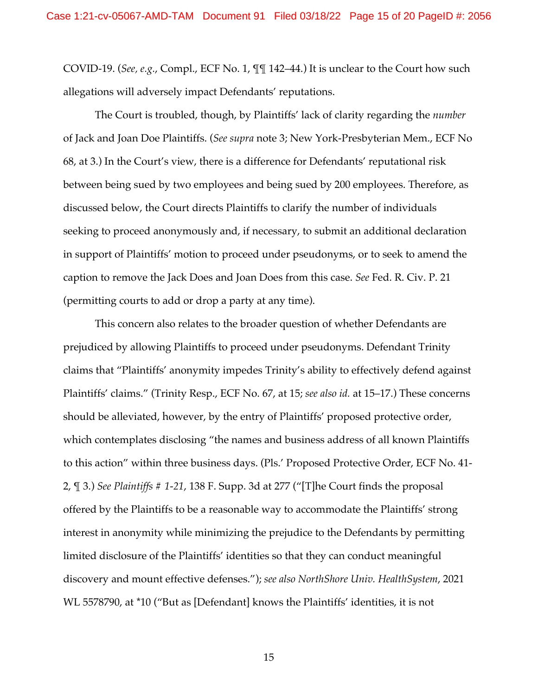COVID-19. (*See, e.g.*, Compl., ECF No. 1, ¶¶ 142–44.) It is unclear to the Court how such allegations will adversely impact Defendants' reputations.

The Court is troubled, though, by Plaintiffs' lack of clarity regarding the *number*  of Jack and Joan Doe Plaintiffs. (*See supra* note 3; New York-Presbyterian Mem., ECF No 68, at 3.) In the Court's view, there is a difference for Defendants' reputational risk between being sued by two employees and being sued by 200 employees. Therefore, as discussed below, the Court directs Plaintiffs to clarify the number of individuals seeking to proceed anonymously and, if necessary, to submit an additional declaration in support of Plaintiffs' motion to proceed under pseudonyms, or to seek to amend the caption to remove the Jack Does and Joan Does from this case. *See* Fed. R. Civ. P. 21 (permitting courts to add or drop a party at any time).

This concern also relates to the broader question of whether Defendants are prejudiced by allowing Plaintiffs to proceed under pseudonyms. Defendant Trinity claims that "Plaintiffs' anonymity impedes Trinity's ability to effectively defend against Plaintiffs' claims." (Trinity Resp., ECF No. 67, at 15; *see also id.* at 15–17.) These concerns should be alleviated, however, by the entry of Plaintiffs' proposed protective order, which contemplates disclosing "the names and business address of all known Plaintiffs to this action" within three business days. (Pls.' Proposed Protective Order, ECF No. 41- 2, ¶ 3.) *See Plaintiffs # 1-21*, 138 F. Supp. 3d at 277 ("[T]he Court finds the proposal offered by the Plaintiffs to be a reasonable way to accommodate the Plaintiffs' strong interest in anonymity while minimizing the prejudice to the Defendants by permitting limited disclosure of the Plaintiffs' identities so that they can conduct meaningful discovery and mount effective defenses."); *see also NorthShore Univ. HealthSystem*, 2021 WL 5578790, at \*10 ("But as [Defendant] knows the Plaintiffs' identities, it is not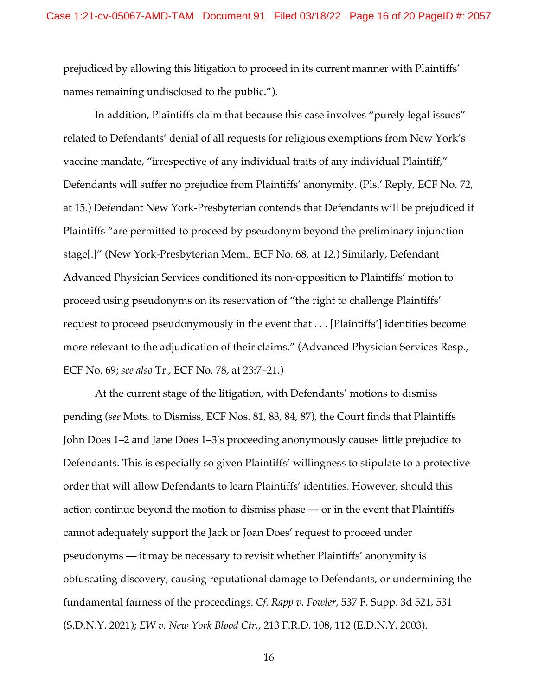prejudiced by allowing this litigation to proceed in its current manner with Plaintiffs' names remaining undisclosed to the public.").

In addition, Plaintiffs claim that because this case involves "purely legal issues" related to Defendants' denial of all requests for religious exemptions from New York's vaccine mandate, "irrespective of any individual traits of any individual Plaintiff," Defendants will suffer no prejudice from Plaintiffs' anonymity. (Pls.' Reply, ECF No. 72, at 15.) Defendant New York-Presbyterian contends that Defendants will be prejudiced if Plaintiffs "are permitted to proceed by pseudonym beyond the preliminary injunction stage[.]" (New York-Presbyterian Mem., ECF No. 68, at 12.) Similarly, Defendant Advanced Physician Services conditioned its non-opposition to Plaintiffs' motion to proceed using pseudonyms on its reservation of "the right to challenge Plaintiffs' request to proceed pseudonymously in the event that . . . [Plaintiffs'] identities become more relevant to the adjudication of their claims." (Advanced Physician Services Resp., ECF No. 69; *see also* Tr., ECF No. 78, at 23:7–21.)

At the current stage of the litigation, with Defendants' motions to dismiss pending (*see* Mots. to Dismiss, ECF Nos. 81, 83, 84, 87), the Court finds that Plaintiffs John Does 1–2 and Jane Does 1–3's proceeding anonymously causes little prejudice to Defendants. This is especially so given Plaintiffs' willingness to stipulate to a protective order that will allow Defendants to learn Plaintiffs' identities. However, should this action continue beyond the motion to dismiss phase — or in the event that Plaintiffs cannot adequately support the Jack or Joan Does' request to proceed under pseudonyms — it may be necessary to revisit whether Plaintiffs' anonymity is obfuscating discovery, causing reputational damage to Defendants, or undermining the fundamental fairness of the proceedings. *Cf. Rapp v. Fowler*, 537 F. Supp. 3d 521, 531 (S.D.N.Y. 2021); *EW v. New York Blood Ctr.*, 213 F.R.D. 108, 112 (E.D.N.Y. 2003).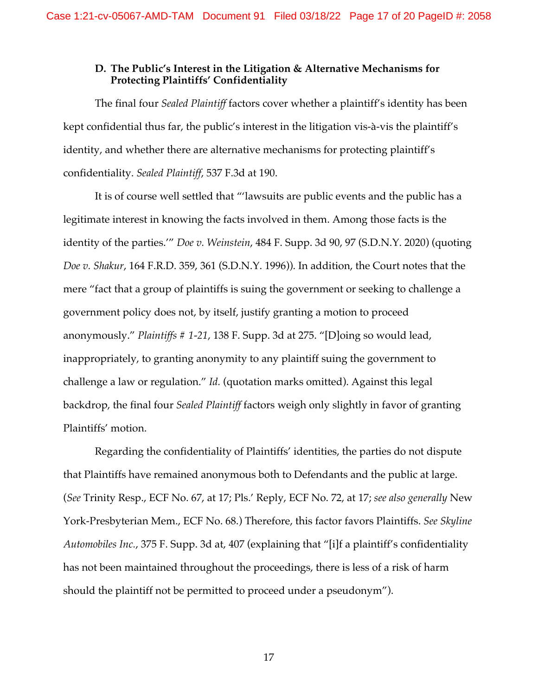# **D. The Public's Interest in the Litigation & Alternative Mechanisms for Protecting Plaintiffs' Confidentiality**

The final four *Sealed Plaintiff* factors cover whether a plaintiff's identity has been kept confidential thus far, the public's interest in the litigation vis-à-vis the plaintiff's identity, and whether there are alternative mechanisms for protecting plaintiff's confidentiality. *Sealed Plaintiff*, 537 F.3d at 190.

It is of course well settled that "'lawsuits are public events and the public has a legitimate interest in knowing the facts involved in them. Among those facts is the identity of the parties.'" *Doe v. Weinstein*, 484 F. Supp. 3d 90, 97 (S.D.N.Y. 2020) (quoting *Doe v. Shakur*, 164 F.R.D. 359, 361 (S.D.N.Y. 1996)). In addition, the Court notes that the mere "fact that a group of plaintiffs is suing the government or seeking to challenge a government policy does not, by itself, justify granting a motion to proceed anonymously." *Plaintiffs # 1-21*, 138 F. Supp. 3d at 275. "[D]oing so would lead, inappropriately, to granting anonymity to any plaintiff suing the government to challenge a law or regulation." *Id.* (quotation marks omitted). Against this legal backdrop, the final four *Sealed Plaintiff* factors weigh only slightly in favor of granting Plaintiffs' motion.

Regarding the confidentiality of Plaintiffs' identities, the parties do not dispute that Plaintiffs have remained anonymous both to Defendants and the public at large. (*See* Trinity Resp., ECF No. 67, at 17; Pls.' Reply, ECF No. 72, at 17; *see also generally* New York-Presbyterian Mem., ECF No. 68.) Therefore, this factor favors Plaintiffs. *See Skyline Automobiles Inc.*, 375 F. Supp. 3d at, 407 (explaining that "[i]f a plaintiff's confidentiality has not been maintained throughout the proceedings, there is less of a risk of harm should the plaintiff not be permitted to proceed under a pseudonym").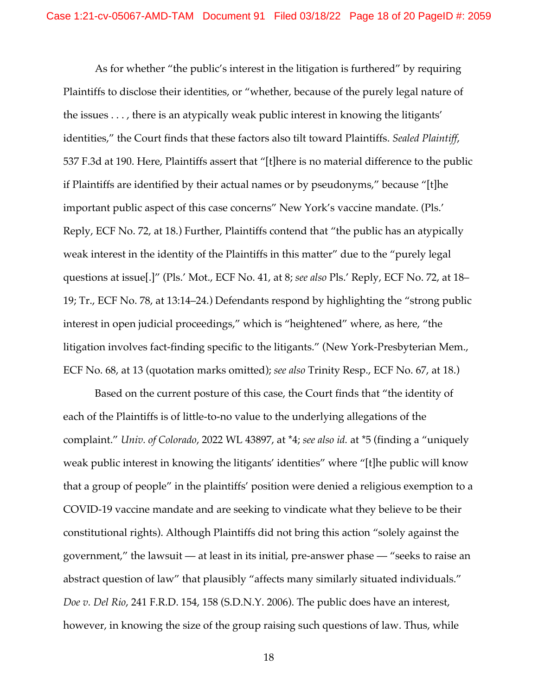As for whether "the public's interest in the litigation is furthered" by requiring Plaintiffs to disclose their identities, or "whether, because of the purely legal nature of the issues . . . , there is an atypically weak public interest in knowing the litigants' identities," the Court finds that these factors also tilt toward Plaintiffs. *Sealed Plaintiff*, 537 F.3d at 190. Here, Plaintiffs assert that "[t]here is no material difference to the public if Plaintiffs are identified by their actual names or by pseudonyms," because "[t]he important public aspect of this case concerns" New York's vaccine mandate. (Pls.' Reply, ECF No. 72, at 18.) Further, Plaintiffs contend that "the public has an atypically weak interest in the identity of the Plaintiffs in this matter" due to the "purely legal questions at issue[.]" (Pls.' Mot., ECF No. 41, at 8; *see also* Pls.' Reply, ECF No. 72, at 18– 19; Tr., ECF No. 78, at 13:14–24.) Defendants respond by highlighting the "strong public interest in open judicial proceedings," which is "heightened" where, as here, "the litigation involves fact-finding specific to the litigants." (New York-Presbyterian Mem., ECF No. 68, at 13 (quotation marks omitted); *see also* Trinity Resp., ECF No. 67, at 18.)

Based on the current posture of this case, the Court finds that "the identity of each of the Plaintiffs is of little-to-no value to the underlying allegations of the complaint." *Univ. of Colorado*, 2022 WL 43897, at \*4; *see also id.* at \*5 (finding a "uniquely weak public interest in knowing the litigants' identities" where "[t]he public will know that a group of people" in the plaintiffs' position were denied a religious exemption to a COVID-19 vaccine mandate and are seeking to vindicate what they believe to be their constitutional rights). Although Plaintiffs did not bring this action "solely against the government," the lawsuit — at least in its initial, pre-answer phase — "seeks to raise an abstract question of law" that plausibly "affects many similarly situated individuals." *Doe v. Del Rio*, 241 F.R.D. 154, 158 (S.D.N.Y. 2006). The public does have an interest, however, in knowing the size of the group raising such questions of law. Thus, while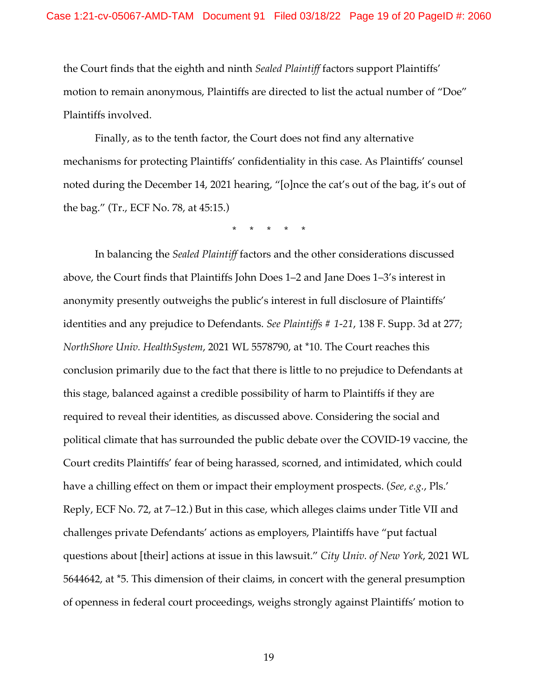the Court finds that the eighth and ninth *Sealed Plaintiff* factors support Plaintiffs' motion to remain anonymous, Plaintiffs are directed to list the actual number of "Doe" Plaintiffs involved.

Finally, as to the tenth factor, the Court does not find any alternative mechanisms for protecting Plaintiffs' confidentiality in this case. As Plaintiffs' counsel noted during the December 14, 2021 hearing, "[o]nce the cat's out of the bag, it's out of the bag." (Tr., ECF No. 78, at 45:15.)

\* \* \* \* \*

In balancing the *Sealed Plaintiff* factors and the other considerations discussed above, the Court finds that Plaintiffs John Does 1–2 and Jane Does 1–3's interest in anonymity presently outweighs the public's interest in full disclosure of Plaintiffs' identities and any prejudice to Defendants. *See Plaintiffs # 1-21*, 138 F. Supp. 3d at 277; *NorthShore Univ. HealthSystem*, 2021 WL 5578790, at \*10. The Court reaches this conclusion primarily due to the fact that there is little to no prejudice to Defendants at this stage, balanced against a credible possibility of harm to Plaintiffs if they are required to reveal their identities, as discussed above. Considering the social and political climate that has surrounded the public debate over the COVID-19 vaccine, the Court credits Plaintiffs' fear of being harassed, scorned, and intimidated, which could have a chilling effect on them or impact their employment prospects. (*See, e.g.*, Pls.' Reply, ECF No. 72, at 7–12.) But in this case, which alleges claims under Title VII and challenges private Defendants' actions as employers, Plaintiffs have "put factual questions about [their] actions at issue in this lawsuit." *City Univ. of New York*, 2021 WL 5644642, at \*5. This dimension of their claims, in concert with the general presumption of openness in federal court proceedings, weighs strongly against Plaintiffs' motion to